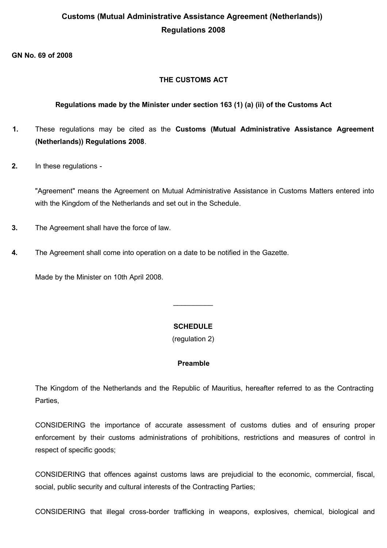# **Customs (Mutual Administrative Assistance Agreement (Netherlands)) Regulations 2008**

**GN No. 69 of 2008** 

## **THE CUSTOMS ACT**

## **Regulations made by the Minister under section 163 (1) (a) (ii) of the Customs Act**

- **1.** These regulations may be cited as the **Customs (Mutual Administrative Assistance Agreement (Netherlands)) Regulations 2008**.
- **2.** In these regulations -

"Agreement" means the Agreement on Mutual Administrative Assistance in Customs Matters entered into with the Kingdom of the Netherlands and set out in the Schedule.

- **3.** The Agreement shall have the force of law.
- **4.** The Agreement shall come into operation on a date to be notified in the Gazette.

Made by the Minister on 10th April 2008.

# **SCHEDULE**

 $\mathcal{L}$  . The set of the set of the set of the set of the set of the set of the set of the set of the set of the set of the set of the set of the set of the set of the set of the set of the set of the set of the set of t

(regulation 2)

## **Preamble**

The Kingdom of the Netherlands and the Republic of Mauritius, hereafter referred to as the Contracting Parties,

CONSIDERING the importance of accurate assessment of customs duties and of ensuring proper enforcement by their customs administrations of prohibitions, restrictions and measures of control in respect of specific goods;

CONSIDERING that offences against customs laws are prejudicial to the economic, commercial, fiscal, social, public security and cultural interests of the Contracting Parties;

CONSIDERING that illegal cross-border trafficking in weapons, explosives, chemical, biological and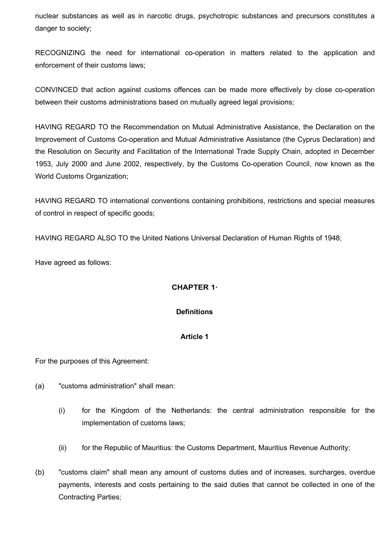nuclear substances as well as in narcotic drugs, psychotropic substances and precursors constitutes a danger to society;

RECOGNIZING the need for international co-operation in matters related to the application and enforcement of their customs laws;

CONVINCED that action against customs offences can be made more effectively by close co-operation between their customs administrations based on mutually agreed legal provisions;

HAVING REGARD TO the Recommendation on Mutual Administrative Assistance, the Declaration on the Improvement of Customs Co-operation and Mutual Administrative Assistance (the Cyprus Declaration) and the Resolution on Security and Facilitation of the International Trade Supply Chain, adopted in December 1953, July 2000 and June 2002, respectively, by the Customs Co-operation Council, now known as the World Customs Organization;

HAVING REGARD TO international conventions containing prohibitions, restrictions and special measures of control in respect of specific goods;

HAVING REGARD ALSO TO the United Nations Universal Declaration of Human Rights of 1948;

Have agreed as follows:

#### **CHAPTER 1·**

#### **Definitions**

#### **Article 1**

For the purposes of this Agreement:

- (a) "customs administration" shall mean:
	- (i) for the Kingdom of the Netherlands: the central administration responsible for the implementation of customs laws;
	- (ii) for the Republic of Mauritius: the Customs Department, Mauritius Revenue Authority;
- (b) "customs claim" shall mean any amount of customs duties and of increases, surcharges, overdue payments, interests and costs pertaining to the said duties that cannot be collected in one of the Contracting Parties;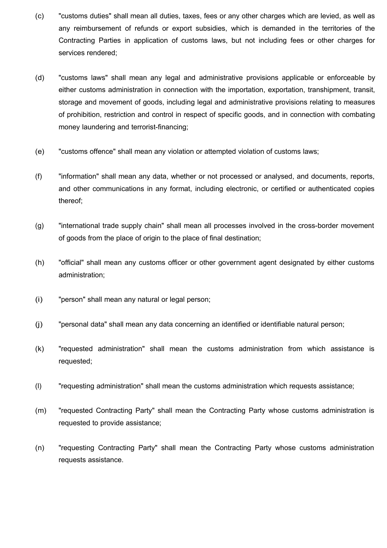- (c) "customs duties" shall mean all duties, taxes, fees or any other charges which are levied, as well as any reimbursement of refunds or export subsidies, which is demanded in the territories of the Contracting Parties in application of customs laws, but not including fees or other charges for services rendered;
- (d) "customs laws" shall mean any legal and administrative provisions applicable or enforceable by either customs administration in connection with the importation, exportation, transhipment, transit, storage and movement of goods, including legal and administrative provisions relating to measures of prohibition, restriction and control in respect of specific goods, and in connection with combating money laundering and terrorist-financing;
- (e) "customs offence" shall mean any violation or attempted violation of customs laws;
- (f) "information" shall mean any data, whether or not processed or analysed, and documents, reports, and other communications in any format, including electronic, or certified or authenticated copies thereof;
- (g) "international trade supply chain" shall mean all processes involved in the cross-border movement of goods from the place of origin to the place of final destination;
- (h) "official" shall mean any customs officer or other government agent designated by either customs administration;
- (i) "person" shall mean any natural or legal person;
- (j) "personal data" shall mean any data concerning an identified or identifiable natural person;
- (k) "requested administration" shall mean the customs administration from which assistance is requested;
- (l) "requesting administration" shall mean the customs administration which requests assistance;
- (m) "requested Contracting Party" shall mean the Contracting Party whose customs administration is requested to provide assistance;
- (n) "requesting Contracting Party" shall mean the Contracting Party whose customs administration requests assistance.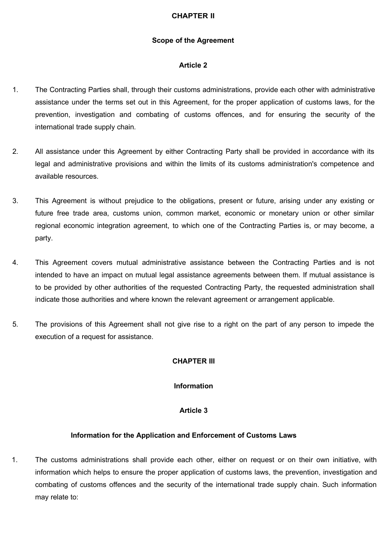## **CHAPTER II**

#### **Scope of the Agreement**

### **Article 2**

- 1. The Contracting Parties shall, through their customs administrations, provide each other with administrative assistance under the terms set out in this Agreement, for the proper application of customs laws, for the prevention, investigation and combating of customs offences, and for ensuring the security of the international trade supply chain.
- 2. All assistance under this Agreement by either Contracting Party shall be provided in accordance with its legal and administrative provisions and within the limits of its customs administration's competence and available resources.
- 3. This Agreement is without prejudice to the obligations, present or future, arising under any existing or future free trade area, customs union, common market, economic or monetary union or other similar regional economic integration agreement, to which one of the Contracting Parties is, or may become, a party.
- 4. This Agreement covers mutual administrative assistance between the Contracting Parties and is not intended to have an impact on mutual legal assistance agreements between them. If mutual assistance is to be provided by other authorities of the requested Contracting Party, the requested administration shall indicate those authorities and where known the relevant agreement or arrangement applicable.
- 5. The provisions of this Agreement shall not give rise to a right on the part of any person to impede the execution of a request for assistance.

## **CHAPTER III**

#### **Information**

#### **Article 3**

## **Information for the Application and Enforcement of Customs Laws**

1. The customs administrations shall provide each other, either on request or on their own initiative, with information which helps to ensure the proper application of customs laws, the prevention, investigation and combating of customs offences and the security of the international trade supply chain. Such information may relate to: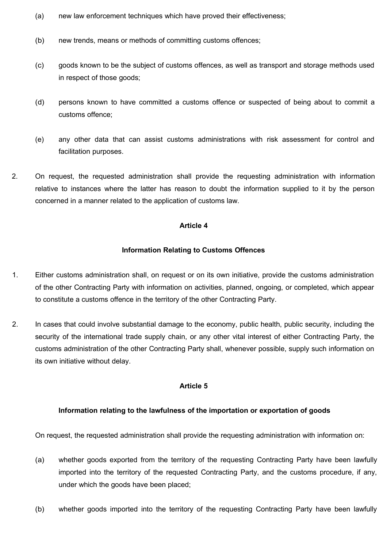- (a) new law enforcement techniques which have proved their effectiveness;
- (b) new trends, means or methods of committing customs offences;
- (c) goods known to be the subject of customs offences, as well as transport and storage methods used in respect of those goods;
- (d) persons known to have committed a customs offence or suspected of being about to commit a customs offence;
- (e) any other data that can assist customs administrations with risk assessment for control and facilitation purposes.
- 2. On request, the requested administration shall provide the requesting administration with information relative to instances where the latter has reason to doubt the information supplied to it by the person concerned in a manner related to the application of customs law.

## **Article 4**

#### **Information Relating to Customs Offences**

- 1. Either customs administration shall, on request or on its own initiative, provide the customs administration of the other Contracting Party with information on activities, planned, ongoing, or completed, which appear to constitute a customs offence in the territory of the other Contracting Party.
- 2. In cases that could involve substantial damage to the economy, public health, public security, including the security of the international trade supply chain, or any other vital interest of either Contracting Party, the customs administration of the other Contracting Party shall, whenever possible, supply such information on its own initiative without delay.

#### **Article 5**

#### **Information relating to the lawfulness of the importation or exportation of goods**

On request, the requested administration shall provide the requesting administration with information on:

- (a) whether goods exported from the territory of the requesting Contracting Party have been lawfully imported into the territory of the requested Contracting Party, and the customs procedure, if any, under which the goods have been placed;
- (b) whether goods imported into the territory of the requesting Contracting Party have been lawfully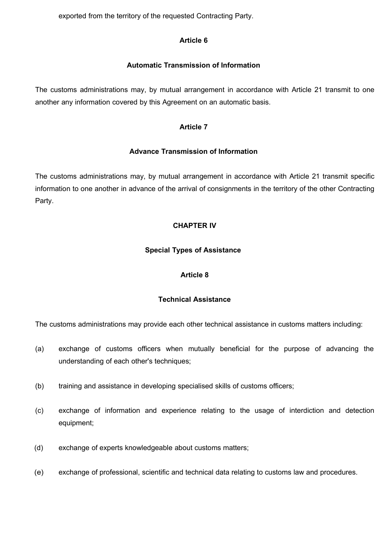exported from the territory of the requested Contracting Party.

### **Article 6**

## **Automatic Transmission of Information**

The customs administrations may, by mutual arrangement in accordance with Article 21 transmit to one another any information covered by this Agreement on an automatic basis.

### **Article 7**

## **Advance Transmission of Information**

The customs administrations may, by mutual arrangement in accordance with Article 21 transmit specific information to one another in advance of the arrival of consignments in the territory of the other Contracting Party.

## **CHAPTER IV**

## **Special Types of Assistance**

## **Article 8**

#### **Technical Assistance**

The customs administrations may provide each other technical assistance in customs matters including:

- (a) exchange of customs officers when mutually beneficial for the purpose of advancing the understanding of each other's techniques;
- (b) training and assistance in developing specialised skills of customs officers;
- (c) exchange of information and experience relating to the usage of interdiction and detection equipment;
- (d) exchange of experts knowledgeable about customs matters;
- (e) exchange of professional, scientific and technical data relating to customs law and procedures.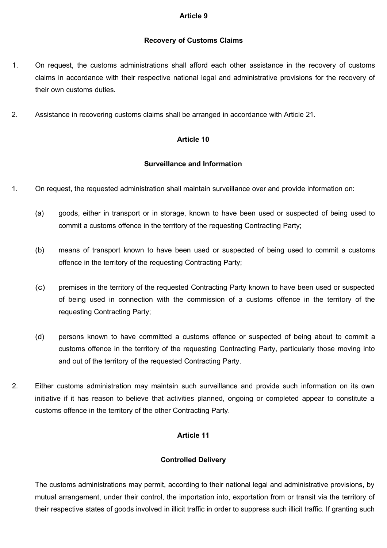#### **Article 9**

### **Recovery of Customs Claims**

- 1. On request, the customs administrations shall afford each other assistance in the recovery of customs claims in accordance with their respective national legal and administrative provisions for the recovery of their own customs duties.
- 2. Assistance in recovering customs claims shall be arranged in accordance with Article 21.

## **Article 10**

#### **Surveillance and Information**

- 1. On request, the requested administration shall maintain surveillance over and provide information on:
	- (a) goods, either in transport or in storage, known to have been used or suspected of being used to commit a customs offence in the territory of the requesting Contracting Party;
	- (b) means of transport known to have been used or suspected of being used to commit a customs offence in the territory of the requesting Contracting Party;
	- (c) premises in the territory of the requested Contracting Party known to have been used or suspected of being used in connection with the commission of a customs offence in the territory of the requesting Contracting Party;
	- (d) persons known to have committed a customs offence or suspected of being about to commit a customs offence in the territory of the requesting Contracting Party, particularly those moving into and out of the territory of the requested Contracting Party.
- 2. Either customs administration may maintain such surveillance and provide such information on its own initiative if it has reason to believe that activities planned, ongoing or completed appear to constitute a customs offence in the territory of the other Contracting Party.

#### **Article 11**

#### **Controlled Delivery**

The customs administrations may permit, according to their national legal and administrative provisions, by mutual arrangement, under their control, the importation into, exportation from or transit via the territory of their respective states of goods involved in illicit traffic in order to suppress such illicit traffic. If granting such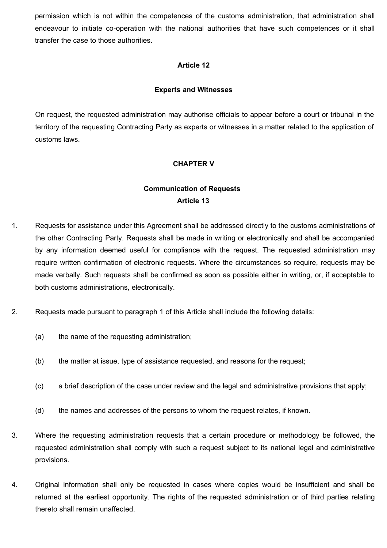permission which is not within the competences of the customs administration, that administration shall endeavour to initiate co-operation with the national authorities that have such competences or it shall transfer the case to those authorities.

### **Article 12**

#### **Experts and Witnesses**

On request, the requested administration may authorise officials to appear before a court or tribunal in the territory of the requesting Contracting Party as experts or witnesses in a matter related to the application of customs laws.

# **CHAPTER V**

# **Communication of Requests Article 13**

- 1. Requests for assistance under this Agreement shall be addressed directly to the customs administrations of the other Contracting Party. Requests shall be made in writing or electronically and shall be accompanied by any information deemed useful for compliance with the request. The requested administration may require written confirmation of electronic requests. Where the circumstances so require, requests may be made verbally. Such requests shall be confirmed as soon as possible either in writing, or, if acceptable to both customs administrations, electronically.
- 2. Requests made pursuant to paragraph 1 of this Article shall include the following details:
	- (a) the name of the requesting administration;
	- (b) the matter at issue, type of assistance requested, and reasons for the request;
	- (c) a brief description of the case under review and the legal and administrative provisions that apply;
	- (d) the names and addresses of the persons to whom the request relates, if known.
- 3. Where the requesting administration requests that a certain procedure or methodology be followed, the requested administration shall comply with such a request subject to its national legal and administrative provisions.
- 4. Original information shall only be requested in cases where copies would be insufficient and shall be returned at the earliest opportunity. The rights of the requested administration or of third parties relating thereto shall remain unaffected.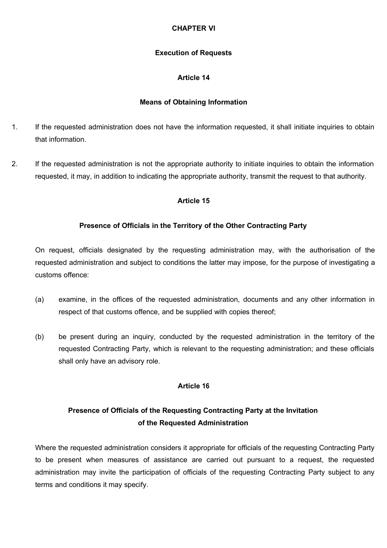## **CHAPTER VI**

## **Execution of Requests**

## **Article 14**

### **Means of Obtaining Information**

- 1. If the requested administration does not have the information requested, it shall initiate inquiries to obtain that information.
- 2. If the requested administration is not the appropriate authority to initiate inquiries to obtain the information requested, it may, in addition to indicating the appropriate authority, transmit the request to that authority.

## **Article 15**

## **Presence of Officials in the Territory of the Other Contracting Party**

On request, officials designated by the requesting administration may, with the authorisation of the requested administration and subject to conditions the latter may impose, for the purpose of investigating a customs offence:

- (a) examine, in the offices of the requested administration, documents and any other information in respect of that customs offence, and be supplied with copies thereof;
- (b) be present during an inquiry, conducted by the requested administration in the territory of the requested Contracting Party, which is relevant to the requesting administration; and these officials shall only have an advisory role.

#### **Article 16**

# **Presence of Officials of the Requesting Contracting Party at the Invitation of the Requested Administration**

Where the requested administration considers it appropriate for officials of the requesting Contracting Party to be present when measures of assistance are carried out pursuant to a request, the requested administration may invite the participation of officials of the requesting Contracting Party subject to any terms and conditions it may specify.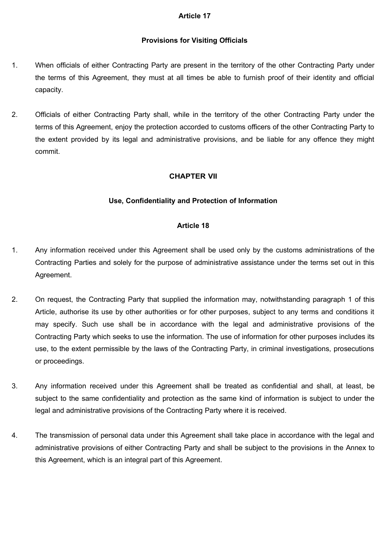#### **Article 17**

#### **Provisions for Visiting Officials**

- 1. When officials of either Contracting Party are present in the territory of the other Contracting Party under the terms of this Agreement, they must at all times be able to furnish proof of their identity and official capacity.
- 2. Officials of either Contracting Party shall, while in the territory of the other Contracting Party under the terms of this Agreement, enjoy the protection accorded to customs officers of the other Contracting Party to the extent provided by its legal and administrative provisions, and be liable for any offence they might commit.

#### **CHAPTER VII**

#### **Use, Confidentiality and Protection of Information**

#### **Article 18**

- 1. Any information received under this Agreement shall be used only by the customs administrations of the Contracting Parties and solely for the purpose of administrative assistance under the terms set out in this Agreement.
- 2. On request, the Contracting Party that supplied the information may, notwithstanding paragraph 1 of this Article, authorise its use by other authorities or for other purposes, subject to any terms and conditions it may specify. Such use shall be in accordance with the legal and administrative provisions of the Contracting Party which seeks to use the information. The use of information for other purposes includes its use, to the extent permissible by the laws of the Contracting Party, in criminal investigations, prosecutions or proceedings.
- 3. Any information received under this Agreement shall be treated as confidential and shall, at least, be subject to the same confidentiality and protection as the same kind of information is subject to under the legal and administrative provisions of the Contracting Party where it is received.
- 4. The transmission of personal data under this Agreement shall take place in accordance with the legal and administrative provisions of either Contracting Party and shall be subject to the provisions in the Annex to this Agreement, which is an integral part of this Agreement.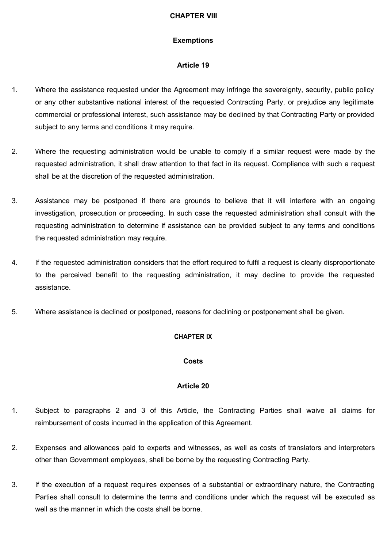#### **CHAPTER VIII**

#### **Exemptions**

#### **Article 19**

- 1. Where the assistance requested under the Agreement may infringe the sovereignty, security, public policy or any other substantive national interest of the requested Contracting Party, or prejudice any legitimate commercial or professional interest, such assistance may be declined by that Contracting Party or provided subject to any terms and conditions it may require.
- 2. Where the requesting administration would be unable to comply if a similar request were made by the requested administration, it shall draw attention to that fact in its request. Compliance with such a request shall be at the discretion of the requested administration.
- 3. Assistance may be postponed if there are grounds to believe that it will interfere with an ongoing investigation, prosecution or proceeding. In such case the requested administration shall consult with the requesting administration to determine if assistance can be provided subject to any terms and conditions the requested administration may require.
- 4. If the requested administration considers that the effort required to fulfil a request is clearly disproportionate to the perceived benefit to the requesting administration, it may decline to provide the requested assistance.
- 5. Where assistance is declined or postponed, reasons for declining or postponement shall be given.

#### **CHAPTER IX**

#### **Costs**

#### **Article 20**

- 1. Subject to paragraphs 2 and 3 of this Article, the Contracting Parties shall waive all claims for reimbursement of costs incurred in the application of this Agreement.
- 2. Expenses and allowances paid to experts and witnesses, as well as costs of translators and interpreters other than Government employees, shall be borne by the requesting Contracting Party.
- 3. If the execution of a request requires expenses of a substantial or extraordinary nature, the Contracting Parties shall consult to determine the terms and conditions under which the request will be executed as well as the manner in which the costs shall be borne.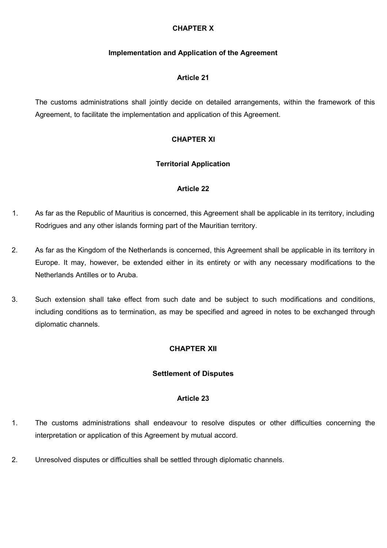## **CHAPTER X**

## **Implementation and Application of the Agreement**

### **Article 21**

The customs administrations shall jointly decide on detailed arrangements, within the framework of this Agreement, to facilitate the implementation and application of this Agreement.

## **CHAPTER XI**

#### **Territorial Application**

#### **Article 22**

- 1. As far as the Republic of Mauritius is concerned, this Agreement shall be applicable in its territory, including Rodrigues and any other islands forming part of the Mauritian territory.
- 2. As far as the Kingdom of the Netherlands is concerned, this Agreement shall be applicable in its territory in Europe. It may, however, be extended either in its entirety or with any necessary modifications to the Netherlands Antilles or to Aruba.
- 3. Such extension shall take effect from such date and be subject to such modifications and conditions, including conditions as to termination, as may be specified and agreed in notes to be exchanged through diplomatic channels.

#### **CHAPTER XII**

#### **Settlement of Disputes**

#### **Article 23**

- 1. The customs administrations shall endeavour to resolve disputes or other difficulties concerning the interpretation or application of this Agreement by mutual accord.
- 2. Unresolved disputes or difficulties shall be settled through diplomatic channels.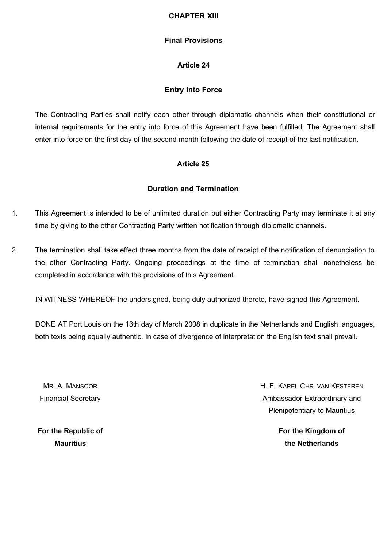## **CHAPTER XIII**

## **Final Provisions**

# **Article 24**

## **Entry into Force**

The Contracting Parties shall notify each other through diplomatic channels when their constitutional or internal requirements for the entry into force of this Agreement have been fulfilled. The Agreement shall enter into force on the first day of the second month following the date of receipt of the last notification.

# **Article 25**

# **Duration and Termination**

- 1. This Agreement is intended to be of unlimited duration but either Contracting Party may terminate it at any time by giving to the other Contracting Party written notification through diplomatic channels.
- 2. The termination shall take effect three months from the date of receipt of the notification of denunciation to the other Contracting Party. Ongoing proceedings at the time of termination shall nonetheless be completed in accordance with the provisions of this Agreement.

IN WITNESS WHEREOF the undersigned, being duly authorized thereto, have signed this Agreement.

DONE AT Port Louis on the 13th day of March 2008 in duplicate in the Netherlands and English languages, both texts being equally authentic. In case of divergence of interpretation the English text shall prevail.

MR. A. MANSOOR Financial Secretary

**For the Republic of Mauritius**

H. E. KAREL CHR. VAN KESTEREN Ambassador Extraordinary and Plenipotentiary to Mauritius

> **For the Kingdom of the Netherlands**